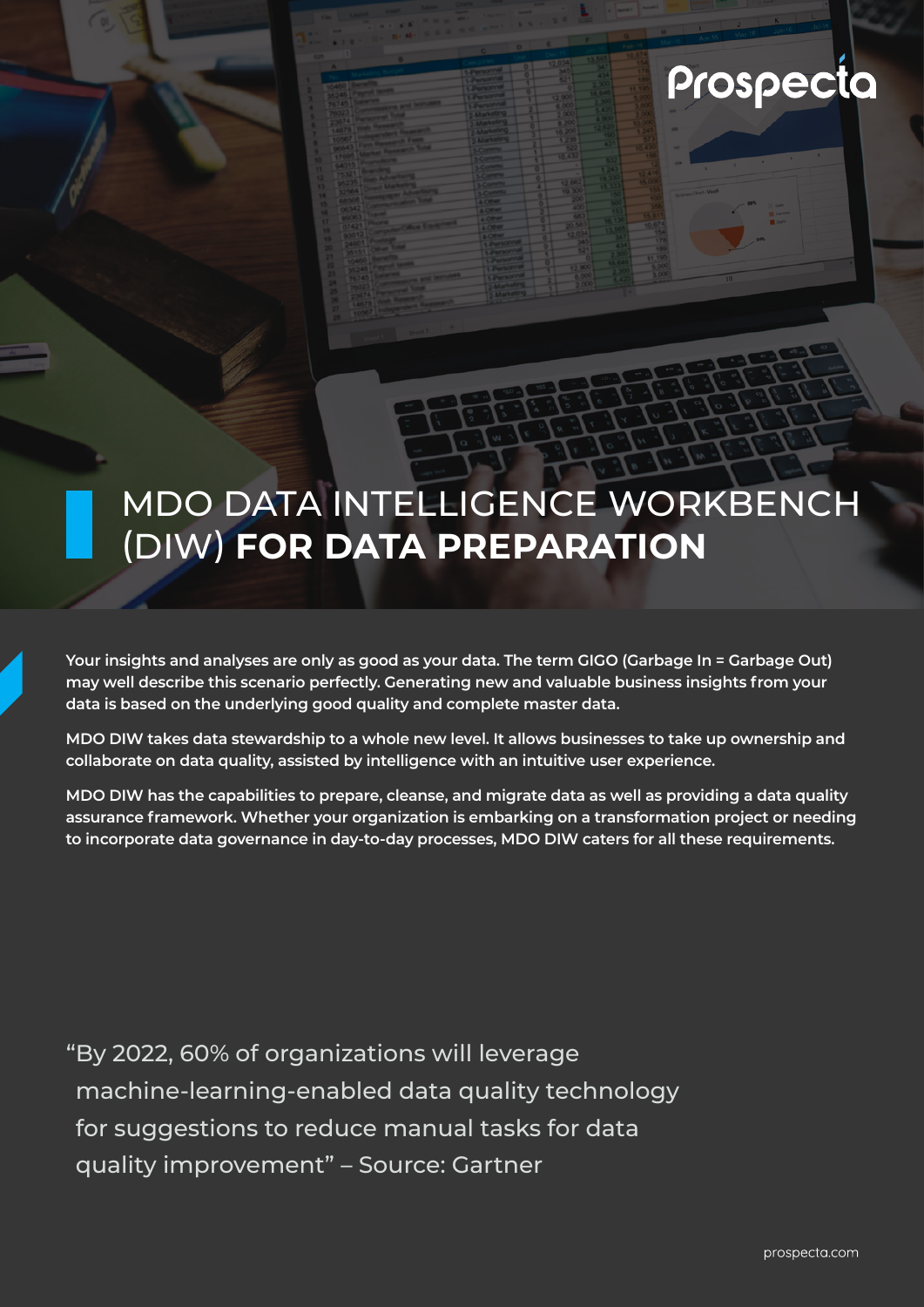Prospecta

# MDO DATA INTELLIGENCE WORKBENCH (DIW) **FOR DATA PREPARATION**

**Your insights and analyses are only as good as your data. The term GIGO (Garbage In = Garbage Out) may well describe this scenario perfectly. Generating new and valuable business insights from your data is based on the underlying good quality and complete master data.** 

**MDO DIW takes data stewardship to a whole new level. It allows businesses to take up ownership and collaborate on data quality, assisted by intelligence with an intuitive user experience.** 

**MDO DIW has the capabilities to prepare, cleanse, and migrate data as well as providing a data quality assurance framework. Whether your organization is embarking on a transformation project or needing to incorporate data governance in day-to-day processes, MDO DIW caters for all these requirements.** 

"By 2022, 60% of organizations will leverage machine-learning-enabled data quality technology for suggestions to reduce manual tasks for data quality improvement" – Source: Gartner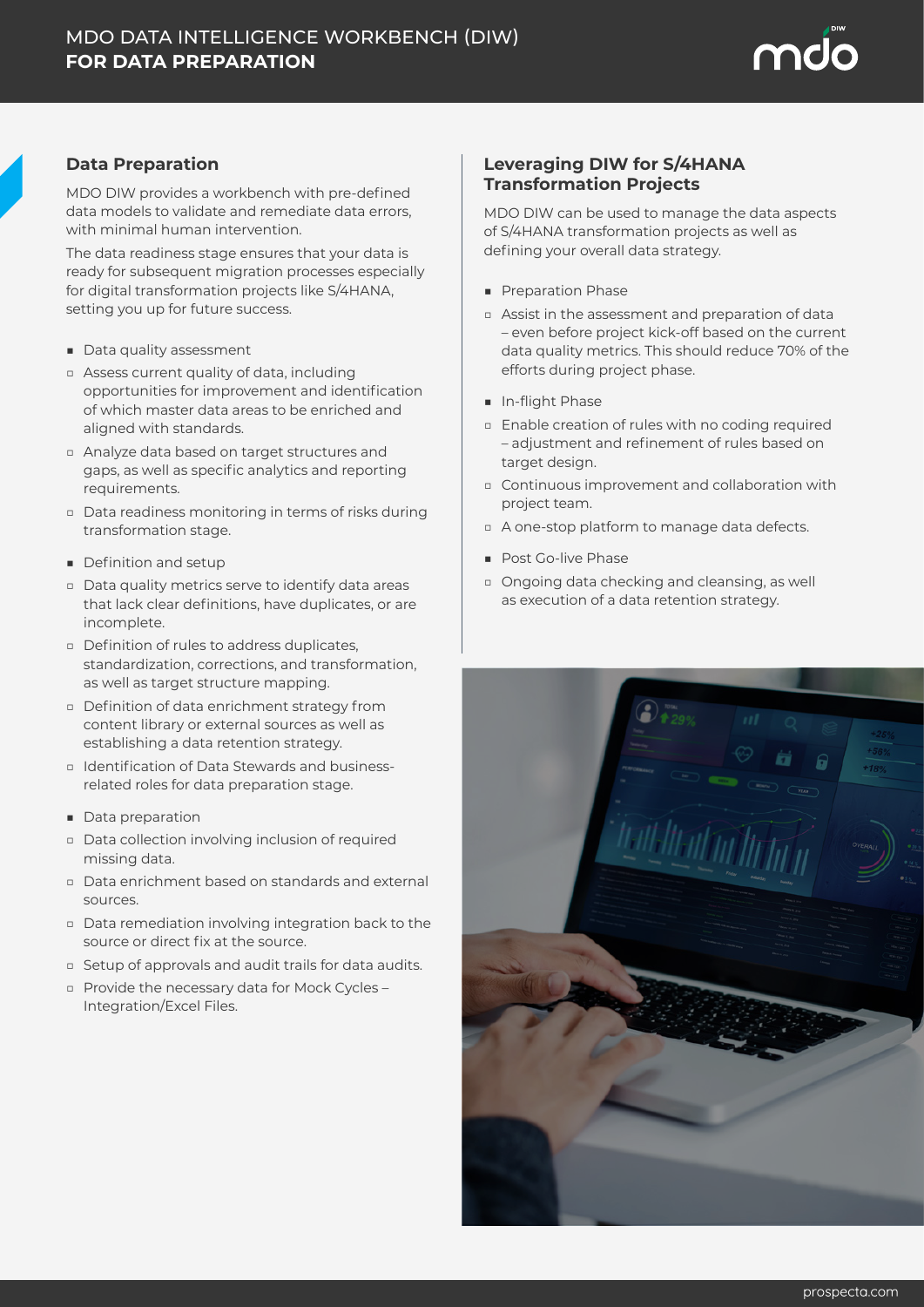

### **Data Preparation**

MDO DIW provides a workbench with pre-defined data models to validate and remediate data errors, with minimal human intervention.

The data readiness stage ensures that your data is ready for subsequent migration processes especially for digital transformation projects like S/4HANA, setting you up for future success.

- Data quality assessment
- □ Assess current quality of data, including opportunities for improvement and identification of which master data areas to be enriched and aligned with standards.
- □ Analyze data based on target structures and gaps, as well as specific analytics and reporting requirements.
- □ Data readiness monitoring in terms of risks during transformation stage.
- Definition and setup
- □ Data quality metrics serve to identify data areas that lack clear definitions, have duplicates, or are incomplete.
- □ Definition of rules to address duplicates, standardization, corrections, and transformation, as well as target structure mapping.
- □ Definition of data enrichment strategy from content library or external sources as well as establishing a data retention strategy.
- □ Identification of Data Stewards and businessrelated roles for data preparation stage.
- Data preparation
- □ Data collection involving inclusion of required missing data.
- □ Data enrichment based on standards and external sources.
- □ Data remediation involving integration back to the source or direct fix at the source.
- □ Setup of approvals and audit trails for data audits.
- □ Provide the necessary data for Mock Cycles Integration/Excel Files.

#### **Leveraging DIW for S/4HANA Transformation Projects**

MDO DIW can be used to manage the data aspects of S/4HANA transformation projects as well as defining your overall data strategy.

- Preparation Phase
- □ Assist in the assessment and preparation of data – even before project kick-off based on the current data quality metrics. This should reduce 70% of the efforts during project phase.
- In-flight Phase
- □ Enable creation of rules with no coding required – adjustment and refinement of rules based on target design.
- □ Continuous improvement and collaboration with project team.
- □ A one-stop platform to manage data defects.
- Post Go-live Phase
- □ Ongoing data checking and cleansing, as well as execution of a data retention strategy.